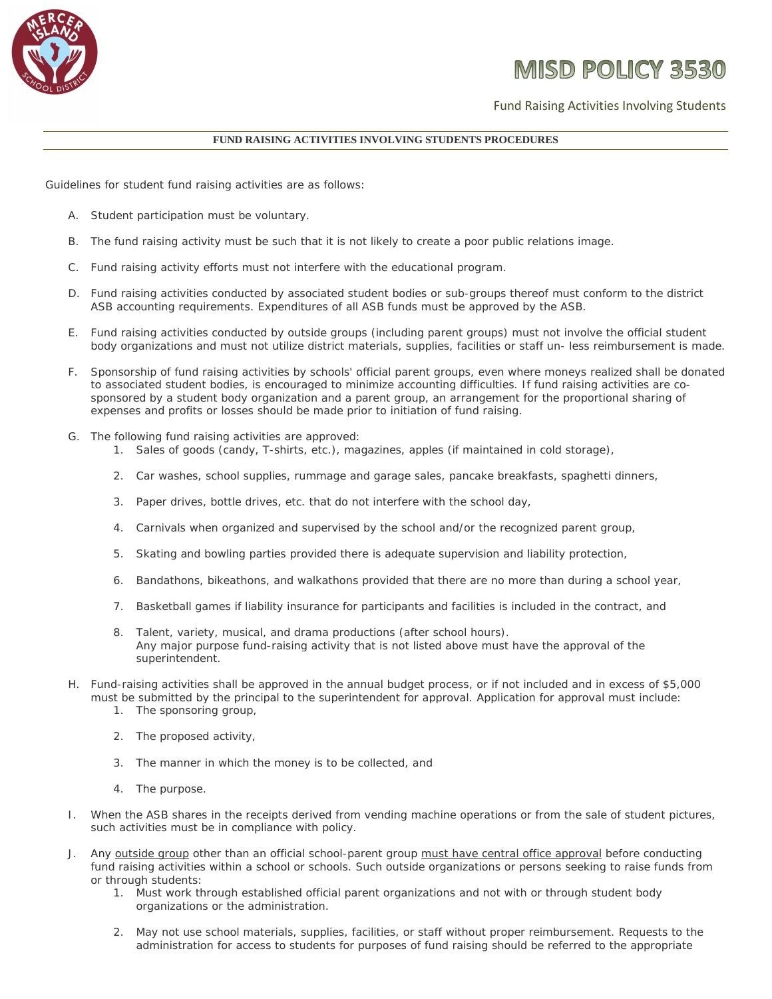

## **MISD POLICY 3530**

Fund Raising Activities Involving Students

## **FUND RAISING ACTIVITIES INVOLVING STUDENTS PROCEDURES**

Guidelines for student fund raising activities are as follows:

- A. Student participation must be voluntary.
- B. The fund raising activity must be such that it is not likely to create a poor public relations image.
- C. Fund raising activity efforts must not interfere with the educational program.
- D. Fund raising activities conducted by associated student bodies or sub-groups thereof must conform to the district ASB accounting requirements. Expenditures of all ASB funds must be approved by the ASB.
- E. Fund raising activities conducted by outside groups (including parent groups) must not involve the official student body organizations and must not utilize district materials, supplies, facilities or staff un- less reimbursement is made.
- F. Sponsorship of fund raising activities by schools' official parent groups, even where moneys realized shall be donated to associated student bodies, is encouraged to minimize accounting difficulties. If fund raising activities are cosponsored by a student body organization and a parent group, an arrangement for the proportional sharing of expenses and profits or losses should be made prior to initiation of fund raising.
- G. The following fund raising activities are approved:
	- 1. Sales of goods (candy, T-shirts, etc.), magazines, apples (if maintained in cold storage),
	- 2. Car washes, school supplies, rummage and garage sales, pancake breakfasts, spaghetti dinners,
	- 3. Paper drives, bottle drives, etc. that do not interfere with the school day,
	- 4. Carnivals when organized and supervised by the school and/or the recognized parent group,
	- 5. Skating and bowling parties provided there is adequate supervision and liability protection,
	- 6. Bandathons, bikeathons, and walkathons provided that there are no more than during a school year,
	- 7. Basketball games if liability insurance for participants and facilities is included in the contract, and
	- 8. Talent, variety, musical, and drama productions (after school hours). Any major purpose fund-raising activity that is not listed above must have the approval of the superintendent.
- H. Fund-raising activities shall be approved in the annual budget process, or if not included and in excess of \$5,000 must be submitted by the principal to the superintendent for approval. Application for approval must include:
	- 1. The sponsoring group,
	- 2. The proposed activity,
	- 3. The manner in which the money is to be collected, and
	- 4. The purpose.
- I. When the ASB shares in the receipts derived from vending machine operations or from the sale of student pictures, such activities must be in compliance with policy.
- J. Any outside group other than an official school-parent group must have central office approval before conducting fund raising activities within a school or schools. Such outside organizations or persons seeking to raise funds from or through students:
	- 1. Must work through established official parent organizations and not with or through student body organizations or the administration.
	- 2. May not use school materials, supplies, facilities, or staff without proper reimbursement. Requests to the administration for access to students for purposes of fund raising should be referred to the appropriate